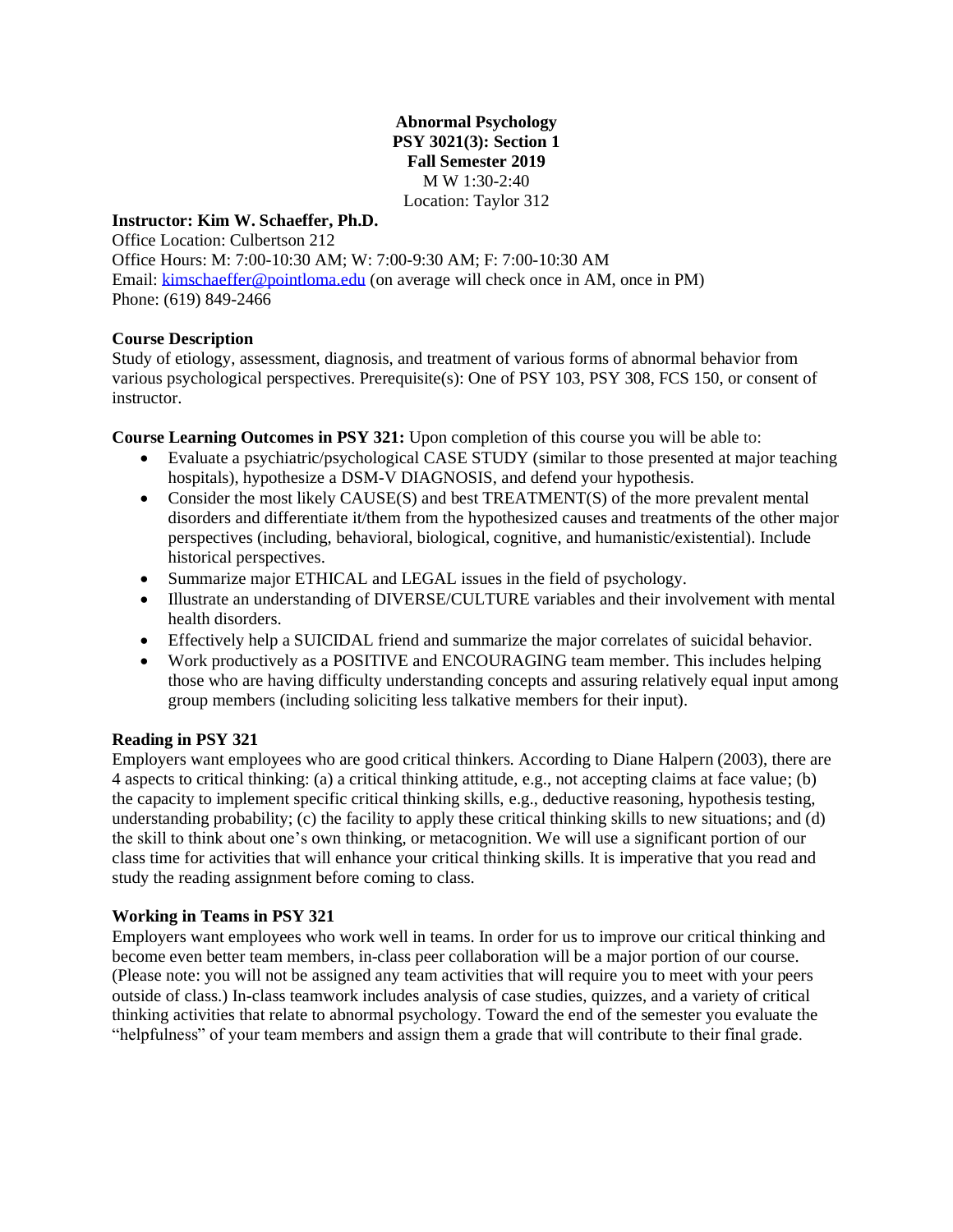**Abnormal Psychology PSY 3021(3): Section 1 Fall Semester 2019** M W 1:30-2:40 Location: Taylor 312

#### **Instructor: Kim W. Schaeffer, Ph.D.**

Office Location: Culbertson 212 Office Hours: M: 7:00-10:30 AM; W: 7:00-9:30 AM; F: 7:00-10:30 AM Email: [kimschaeffer@pointloma.edu](mailto:kimschaeffer@pointloma.edu) (on average will check once in AM, once in PM) Phone: (619) 849-2466

### **Course Description**

Study of etiology, assessment, diagnosis, and treatment of various forms of abnormal behavior from various psychological perspectives. Prerequisite(s): One of PSY 103, PSY 308, FCS 150, or consent of instructor.

**Course Learning Outcomes in PSY 321:** Upon completion of this course you will be able to:

- Evaluate a psychiatric/psychological CASE STUDY (similar to those presented at major teaching hospitals), hypothesize a DSM-V DIAGNOSIS, and defend your hypothesis.
- Consider the most likely CAUSE(S) and best TREATMENT(S) of the more prevalent mental disorders and differentiate it/them from the hypothesized causes and treatments of the other major perspectives (including, behavioral, biological, cognitive, and humanistic/existential). Include historical perspectives.
- Summarize major ETHICAL and LEGAL issues in the field of psychology.
- Illustrate an understanding of DIVERSE/CULTURE variables and their involvement with mental health disorders.
- Effectively help a SUICIDAL friend and summarize the major correlates of suicidal behavior.
- Work productively as a POSITIVE and ENCOURAGING team member. This includes helping those who are having difficulty understanding concepts and assuring relatively equal input among group members (including soliciting less talkative members for their input).

### **Reading in PSY 321**

Employers want employees who are good critical thinkers. According to Diane Halpern (2003), there are 4 aspects to critical thinking: (a) a critical thinking attitude, e.g., not accepting claims at face value; (b) the capacity to implement specific critical thinking skills, e.g., deductive reasoning, hypothesis testing, understanding probability; (c) the facility to apply these critical thinking skills to new situations; and (d) the skill to think about one's own thinking, or metacognition. We will use a significant portion of our class time for activities that will enhance your critical thinking skills. It is imperative that you read and study the reading assignment before coming to class.

#### **Working in Teams in PSY 321**

Employers want employees who work well in teams. In order for us to improve our critical thinking and become even better team members, in-class peer collaboration will be a major portion of our course. (Please note: you will not be assigned any team activities that will require you to meet with your peers outside of class.) In-class teamwork includes analysis of case studies, quizzes, and a variety of critical thinking activities that relate to abnormal psychology. Toward the end of the semester you evaluate the "helpfulness" of your team members and assign them a grade that will contribute to their final grade.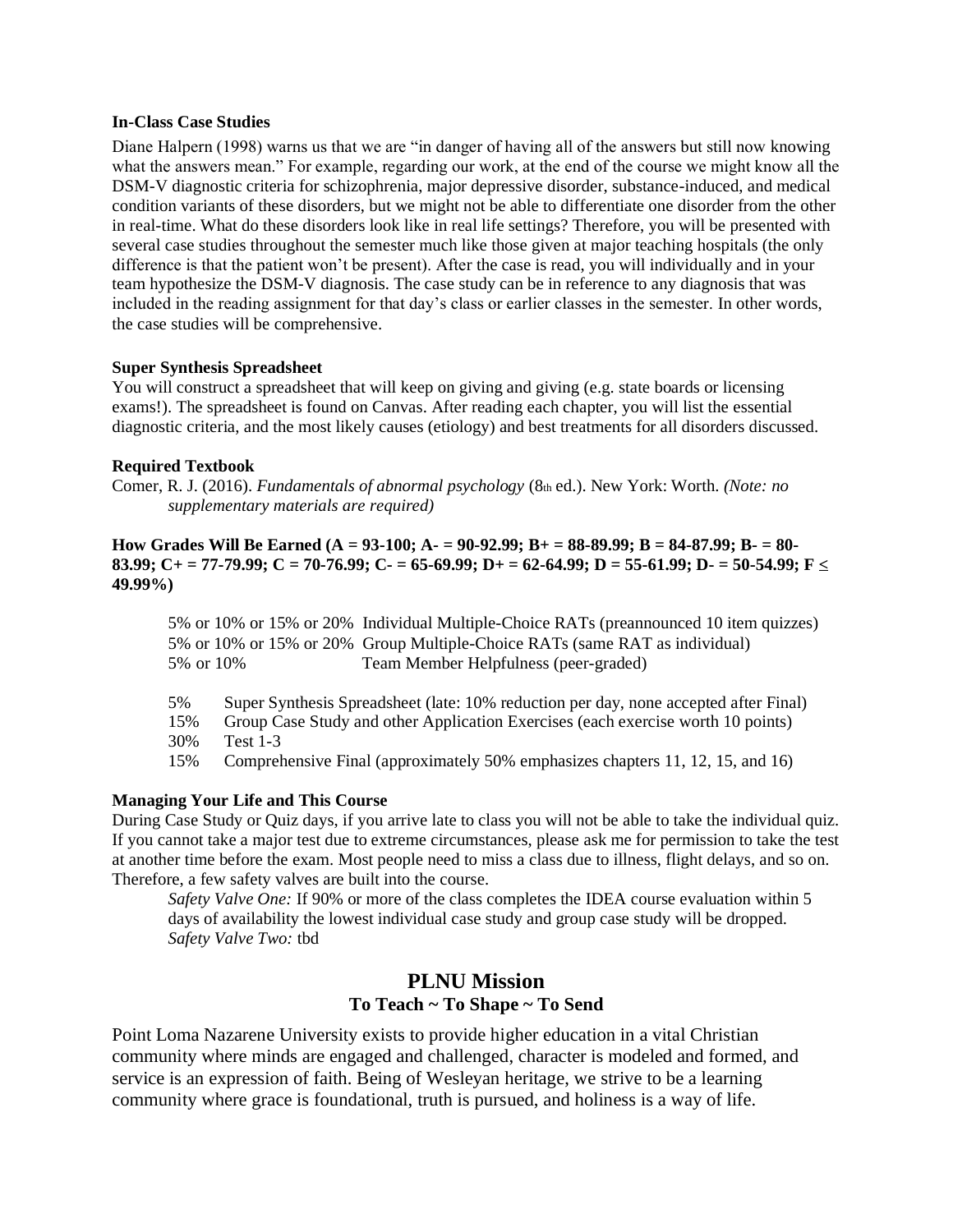#### **In-Class Case Studies**

Diane Halpern (1998) warns us that we are "in danger of having all of the answers but still now knowing what the answers mean." For example, regarding our work, at the end of the course we might know all the DSM-V diagnostic criteria for schizophrenia, major depressive disorder, substance-induced, and medical condition variants of these disorders, but we might not be able to differentiate one disorder from the other in real-time. What do these disorders look like in real life settings? Therefore, you will be presented with several case studies throughout the semester much like those given at major teaching hospitals (the only difference is that the patient won't be present). After the case is read, you will individually and in your team hypothesize the DSM-V diagnosis. The case study can be in reference to any diagnosis that was included in the reading assignment for that day's class or earlier classes in the semester. In other words, the case studies will be comprehensive.

#### **Super Synthesis Spreadsheet**

You will construct a spreadsheet that will keep on giving and giving (e.g. state boards or licensing exams!). The spreadsheet is found on Canvas. After reading each chapter, you will list the essential diagnostic criteria, and the most likely causes (etiology) and best treatments for all disorders discussed.

#### **Required Textbook**

Comer, R. J. (2016). *Fundamentals of abnormal psychology* (8th ed.). New York: Worth. *(Note: no supplementary materials are required)*

#### **How Grades Will Be Earned (A = 93-100; A- = 90-92.99; B+ = 88-89.99; B = 84-87.99; B- = 80- 83.99; C+ = 77-79.99; C = 70-76.99; C- = 65-69.99; D+ = 62-64.99; D = 55-61.99; D- = 50-54.99; F < 49.99%)**

5% or 10% or 15% or 20% Individual Multiple-Choice RATs (preannounced 10 item quizzes) 5% or 10% or 15% or 20% Group Multiple-Choice RATs (same RAT as individual) 5% or 10% Team Member Helpfulness (peer-graded)

5% Super Synthesis Spreadsheet (late: 10% reduction per day, none accepted after Final) 15% Group Case Study and other Application Exercises (each exercise worth 10 points)

30% Test 1-3

15% Comprehensive Final (approximately 50% emphasizes chapters 11, 12, 15, and 16)

#### **Managing Your Life and This Course**

During Case Study or Quiz days, if you arrive late to class you will not be able to take the individual quiz. If you cannot take a major test due to extreme circumstances, please ask me for permission to take the test at another time before the exam. Most people need to miss a class due to illness, flight delays, and so on. Therefore, a few safety valves are built into the course.

*Safety Valve One:* If 90% or more of the class completes the IDEA course evaluation within 5 days of availability the lowest individual case study and group case study will be dropped. *Safety Valve Two:* tbd

## **PLNU Mission To Teach ~ To Shape ~ To Send**

Point Loma Nazarene University exists to provide higher education in a vital Christian community where minds are engaged and challenged, character is modeled and formed, and service is an expression of faith. Being of Wesleyan heritage, we strive to be a learning community where grace is foundational, truth is pursued, and holiness is a way of life.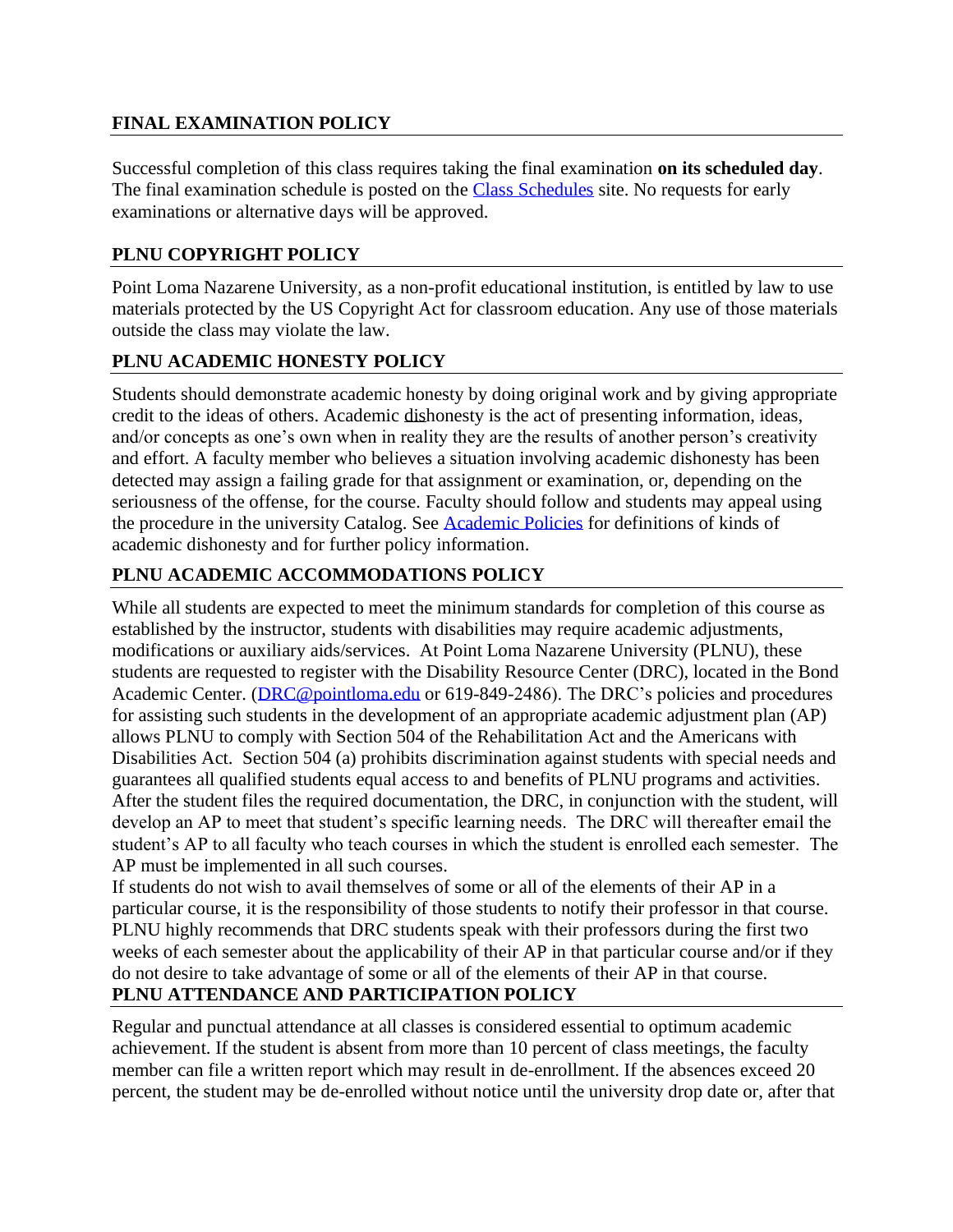# **FINAL EXAMINATION POLICY**

Successful completion of this class requires taking the final examination **on its scheduled day**. The final examination schedule is posted on the [Class Schedules](http://www.pointloma.edu/experience/academics/class-schedules) site. No requests for early examinations or alternative days will be approved.

## **PLNU COPYRIGHT POLICY**

Point Loma Nazarene University, as a non-profit educational institution, is entitled by law to use materials protected by the US Copyright Act for classroom education. Any use of those materials outside the class may violate the law.

## **PLNU ACADEMIC HONESTY POLICY**

Students should demonstrate academic honesty by doing original work and by giving appropriate credit to the ideas of others. Academic dishonesty is the act of presenting information, ideas, and/or concepts as one's own when in reality they are the results of another person's creativity and effort. A faculty member who believes a situation involving academic dishonesty has been detected may assign a failing grade for that assignment or examination, or, depending on the seriousness of the offense, for the course. Faculty should follow and students may appeal using the procedure in the university Catalog. See [Academic Policies](http://catalog.pointloma.edu/content.php?catoid=41&navoid=2435) for definitions of kinds of academic dishonesty and for further policy information.

## **PLNU ACADEMIC ACCOMMODATIONS POLICY**

While all students are expected to meet the minimum standards for completion of this course as established by the instructor, students with disabilities may require academic adjustments, modifications or auxiliary aids/services. At Point Loma Nazarene University (PLNU), these students are requested to register with the Disability Resource Center (DRC), located in the Bond Academic Center. [\(DRC@pointloma.edu](mailto:DRC@pointloma.edu) or 619-849-2486). The DRC's policies and procedures for assisting such students in the development of an appropriate academic adjustment plan (AP) allows PLNU to comply with Section 504 of the Rehabilitation Act and the Americans with Disabilities Act. Section 504 (a) prohibits discrimination against students with special needs and guarantees all qualified students equal access to and benefits of PLNU programs and activities. After the student files the required documentation, the DRC, in conjunction with the student, will develop an AP to meet that student's specific learning needs. The DRC will thereafter email the student's AP to all faculty who teach courses in which the student is enrolled each semester. The AP must be implemented in all such courses.

If students do not wish to avail themselves of some or all of the elements of their AP in a particular course, it is the responsibility of those students to notify their professor in that course. PLNU highly recommends that DRC students speak with their professors during the first two weeks of each semester about the applicability of their AP in that particular course and/or if they do not desire to take advantage of some or all of the elements of their AP in that course.

# **PLNU ATTENDANCE AND PARTICIPATION POLICY**

Regular and punctual attendance at all classes is considered essential to optimum academic achievement. If the student is absent from more than 10 percent of class meetings, the faculty member can file a written report which may result in de-enrollment. If the absences exceed 20 percent, the student may be de-enrolled without notice until the university drop date or, after that